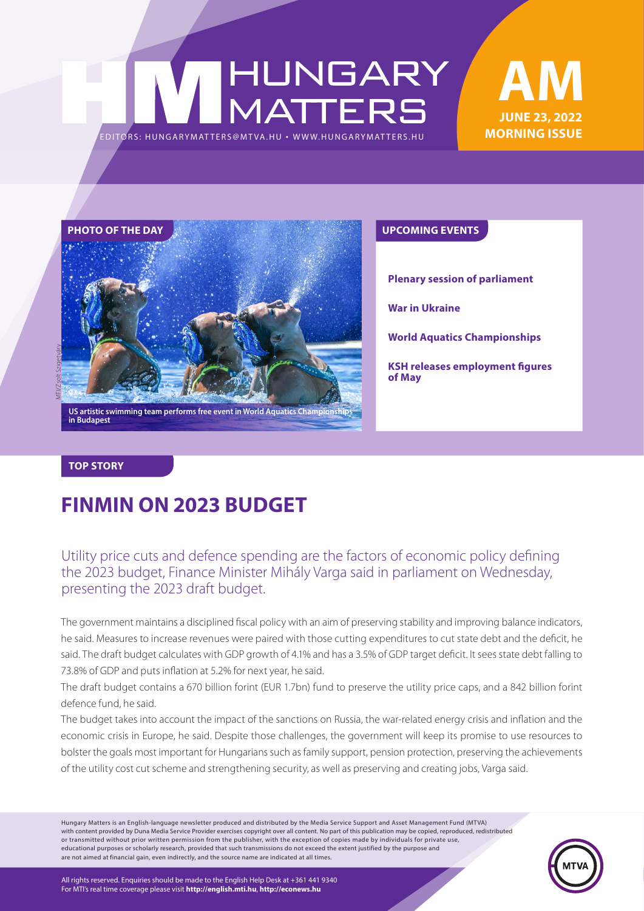# |HUNGARY<br>|MATTERS EDITORS: HUNGARYMAT TERS@MT VA.HU ¬ [WWW.HUNGARYMAT TERS.HU](http://hungarymatters.hu/)





**Plenary session of parliament**

**War in Ukraine**

**World Aquatics Championships**

**KSH releases employment figures of May**

#### **TOP STORY**

### **FINMIN ON 2023 BUDGET**

### Utility price cuts and defence spending are the factors of economic policy defining the 2023 budget, Finance Minister Mihály Varga said in parliament on Wednesday, presenting the 2023 draft budget.

The government maintains a disciplined fiscal policy with an aim of preserving stability and improving balance indicators, he said. Measures to increase revenues were paired with those cutting expenditures to cut state debt and the deficit, he said. The draft budget calculates with GDP growth of 4.1% and has a 3.5% of GDP target deficit. It sees state debt falling to 73.8% of GDP and puts inflation at 5.2% for next year, he said.

The draft budget contains a 670 billion forint (EUR 1.7bn) fund to preserve the utility price caps, and a 842 billion forint defence fund, he said.

The budget takes into account the impact of the sanctions on Russia, the war-related energy crisis and inflation and the economic crisis in Europe, he said. Despite those challenges, the government will keep its promise to use resources to bolster the goals most important for Hungarians such as family support, pension protection, preserving the achievements of the utility cost cut scheme and strengthening security, as well as preserving and creating jobs, Varga said.

Hungary Matters is an English-language newsletter produced and distributed by the Media Service Support and Asset Management Fund (MTVA) with content provided by Duna Media Service Provider exercises copyright over all content. No part of this publication may be copied, reproduced, redistributed or transmitted without prior written permission from the publisher, with the exception of copies made by individuals for private use, educational purposes or scholarly research, provided that such transmissions do not exceed the extent justified by the purpose and are not aimed at financial gain, even indirectly, and the source name are indicated at all times.



All rights reserved. Enquiries should be made to the English Help Desk at +361 441 9340 For MTI's real time coverage please visit **http://english.mti.hu**, **http://econews.hu**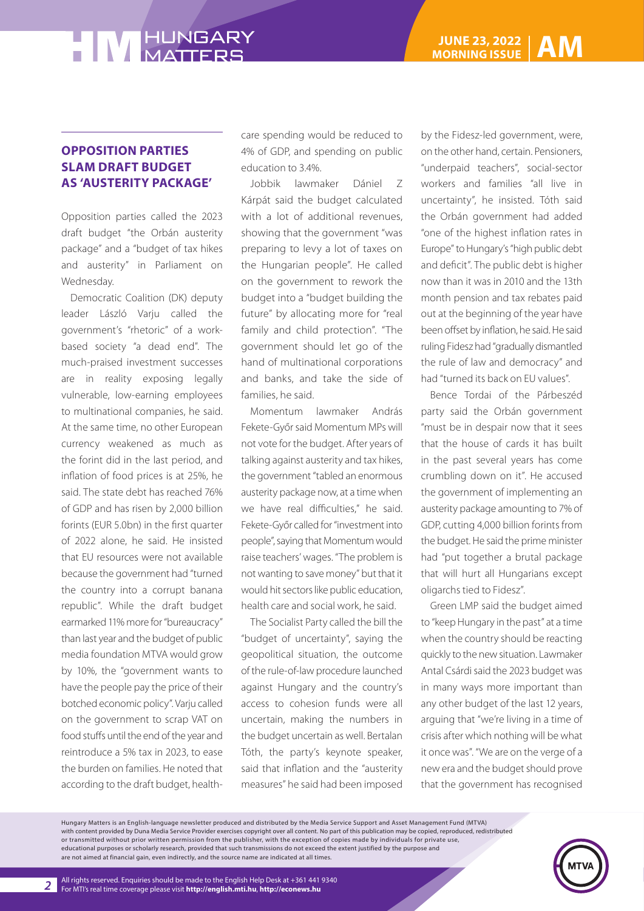#### **OPPOSITION PARTIES SLAM DRAFT BUDGET AS 'AUSTERITY PACKAGE'**

Opposition parties called the 2023 draft budget "the Orbán austerity package" and a "budget of tax hikes and austerity" in Parliament on Wednesday.

Democratic Coalition (DK) deputy leader László Varju called the government's "rhetoric" of a workbased society "a dead end". The much-praised investment successes are in reality exposing legally vulnerable, low-earning employees to multinational companies, he said. At the same time, no other European currency weakened as much as the forint did in the last period, and inflation of food prices is at 25%, he said. The state debt has reached 76% of GDP and has risen by 2,000 billion forints (EUR 5.0bn) in the first quarter of 2022 alone, he said. He insisted that EU resources were not available because the government had "turned the country into a corrupt banana republic". While the draft budget earmarked 11% more for "bureaucracy" than last year and the budget of public media foundation MTVA would grow by 10%, the "government wants to have the people pay the price of their botched economic policy". Varju called on the government to scrap VAT on food stuffs until the end of the year and reintroduce a 5% tax in 2023, to ease the burden on families. He noted that according to the draft budget, healthcare spending would be reduced to 4% of GDP, and spending on public education to 3.4%.

Jobbik lawmaker Dániel Z Kárpát said the budget calculated with a lot of additional revenues, showing that the government "was preparing to levy a lot of taxes on the Hungarian people". He called on the government to rework the budget into a "budget building the future" by allocating more for "real family and child protection". "The government should let go of the hand of multinational corporations and banks, and take the side of families, he said.

Momentum lawmaker András Fekete-Győr said Momentum MPs will not vote for the budget. After years of talking against austerity and tax hikes, the government "tabled an enormous austerity package now, at a time when we have real difficulties," he said. Fekete-Győr called for "investment into people", saying that Momentum would raise teachers' wages. "The problem is not wanting to save money" but that it would hit sectors like public education, health care and social work, he said.

The Socialist Party called the bill the "budget of uncertainty", saying the geopolitical situation, the outcome of the rule-of-law procedure launched against Hungary and the country's access to cohesion funds were all uncertain, making the numbers in the budget uncertain as well. Bertalan Tóth, the party's keynote speaker, said that inflation and the "austerity measures" he said had been imposed

by the Fidesz-led government, were, on the other hand, certain. Pensioners, "underpaid teachers", social-sector workers and families "all live in uncertainty", he insisted. Tóth said the Orbán government had added "one of the highest inflation rates in Europe" to Hungary's "high public debt and deficit". The public debt is higher now than it was in 2010 and the 13th month pension and tax rebates paid out at the beginning of the year have been offset by inflation, he said. He said ruling Fidesz had "gradually dismantled the rule of law and democracy" and had "turned its back on EU values".

Bence Tordai of the Párbeszéd party said the Orbán government "must be in despair now that it sees that the house of cards it has built in the past several years has come crumbling down on it". He accused the government of implementing an austerity package amounting to 7% of GDP, cutting 4,000 billion forints from the budget. He said the prime minister had "put together a brutal package that will hurt all Hungarians except oligarchs tied to Fidesz".

Green LMP said the budget aimed to "keep Hungary in the past" at a time when the country should be reacting quickly to the new situation. Lawmaker Antal Csárdi said the 2023 budget was in many ways more important than any other budget of the last 12 years, arguing that "we're living in a time of crisis after which nothing will be what it once was". "We are on the verge of a new era and the budget should prove that the government has recognised

Hungary Matters is an English-language newsletter produced and distributed by the Media Service Support and Asset Management Fund (MTVA) with content provided by Duna Media Service Provider exercises copyright over all content. No part of this publication may be copied, reproduced, redistributed or transmitted without prior written permission from the publisher, with the exception of copies made by individuals for private use, educational purposes or scholarly research, provided that such transmissions do not exceed the extent justified by the purpose and are not aimed at financial gain, even indirectly, and the source name are indicated at all times.

*2*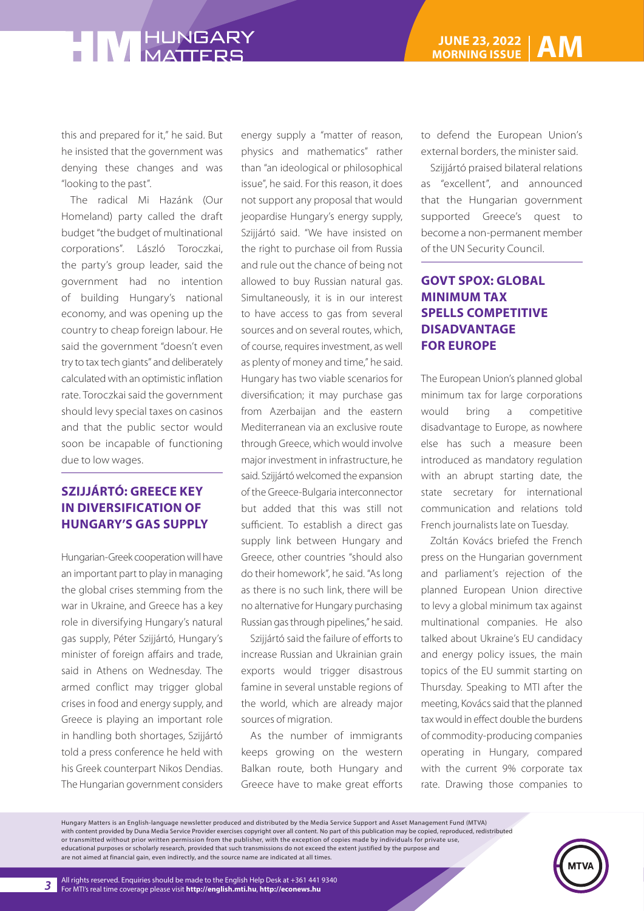this and prepared for it," he said. But he insisted that the government was denying these changes and was "looking to the past".

The radical Mi Hazánk (Our Homeland) party called the draft budget "the budget of multinational corporations". László Toroczkai, the party's group leader, said the government had no intention of building Hungary's national economy, and was opening up the country to cheap foreign labour. He said the government "doesn't even try to tax tech giants" and deliberately calculated with an optimistic inflation rate. Toroczkai said the government should levy special taxes on casinos and that the public sector would soon be incapable of functioning due to low wages.

### **SZIJJÁRTÓ: GREECE KEY IN DIVERSIFICATION OF HUNGARY'S GAS SUPPLY**

Hungarian-Greek cooperation will have an important part to play in managing the global crises stemming from the war in Ukraine, and Greece has a key role in diversifying Hungary's natural gas supply, Péter Szijjártó, Hungary's minister of foreign affairs and trade, said in Athens on Wednesday. The armed conflict may trigger global crises in food and energy supply, and Greece is playing an important role in handling both shortages, Szijjártó told a press conference he held with his Greek counterpart Nikos Dendias. The Hungarian government considers

energy supply a "matter of reason, physics and mathematics" rather than "an ideological or philosophical issue", he said. For this reason, it does not support any proposal that would jeopardise Hungary's energy supply, Szijjártó said. "We have insisted on the right to purchase oil from Russia and rule out the chance of being not allowed to buy Russian natural gas. Simultaneously, it is in our interest to have access to gas from several sources and on several routes, which, of course, requires investment, as well as plenty of money and time," he said. Hungary has two viable scenarios for diversification; it may purchase gas from Azerbaijan and the eastern Mediterranean via an exclusive route through Greece, which would involve major investment in infrastructure, he said. Szijjártó welcomed the expansion of the Greece-Bulgaria interconnector but added that this was still not sufficient. To establish a direct gas supply link between Hungary and Greece, other countries "should also do their homework", he said. "As long as there is no such link, there will be no alternative for Hungary purchasing Russian gas through pipelines," he said.

Szijjártó said the failure of efforts to increase Russian and Ukrainian grain exports would trigger disastrous famine in several unstable regions of the world, which are already major sources of migration.

As the number of immigrants keeps growing on the western Balkan route, both Hungary and Greece have to make great efforts

to defend the European Union's external borders, the minister said.

Szijjártó praised bilateral relations as "excellent", and announced that the Hungarian government supported Greece's quest to become a non-permanent member of the UN Security Council.

### **GOVT SPOX: GLOBAL MINIMUM TAX SPELLS COMPETITIVE DISADVANTAGE FOR EUROPE**

The European Union's planned global minimum tax for large corporations would bring a competitive disadvantage to Europe, as nowhere else has such a measure been introduced as mandatory regulation with an abrupt starting date, the state secretary for international communication and relations told French journalists late on Tuesday.

Zoltán Kovács briefed the French press on the Hungarian government and parliament's rejection of the planned European Union directive to levy a global minimum tax against multinational companies. He also talked about Ukraine's EU candidacy and energy policy issues, the main topics of the EU summit starting on Thursday. Speaking to MTI after the meeting, Kovács said that the planned tax would in effect double the burdens of commodity-producing companies operating in Hungary, compared with the current 9% corporate tax rate. Drawing those companies to

Hungary Matters is an English-language newsletter produced and distributed by the Media Service Support and Asset Management Fund (MTVA) with content provided by Duna Media Service Provider exercises copyright over all content. No part of this publication may be copied, reproduced, redistributed or transmitted without prior written permission from the publisher, with the exception of copies made by individuals for private use, educational purposes or scholarly research, provided that such transmissions do not exceed the extent justified by the purpose and are not aimed at financial gain, even indirectly, and the source name are indicated at all times.

*3*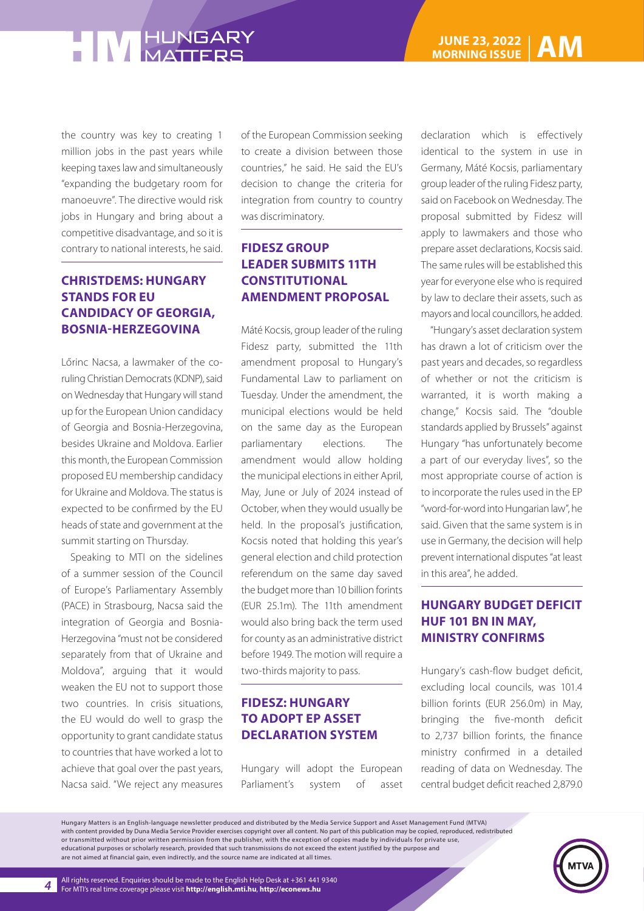the country was key to creating 1 million jobs in the past years while keeping taxes law and simultaneously "expanding the budgetary room for manoeuvre". The directive would risk jobs in Hungary and bring about a competitive disadvantage, and so it is contrary to national interests, he said.

### **CHRISTDEMS: HUNGARY STANDS FOR EU CANDIDACY OF GEORGIA, BOSNIA-HERZEGOVINA**

Lőrinc Nacsa, a lawmaker of the coruling Christian Democrats (KDNP), said on Wednesday that Hungary will stand up for the European Union candidacy of Georgia and Bosnia-Herzegovina, besides Ukraine and Moldova. Earlier this month, the European Commission proposed EU membership candidacy for Ukraine and Moldova. The status is expected to be confirmed by the EU heads of state and government at the summit starting on Thursday.

Speaking to MTI on the sidelines of a summer session of the Council of Europe's Parliamentary Assembly (PACE) in Strasbourg, Nacsa said the integration of Georgia and Bosnia-Herzegovina "must not be considered separately from that of Ukraine and Moldova", arguing that it would weaken the EU not to support those two countries. In crisis situations, the EU would do well to grasp the opportunity to grant candidate status to countries that have worked a lot to achieve that goal over the past years, Nacsa said. "We reject any measures

of the European Commission seeking to create a division between those countries," he said. He said the EU's decision to change the criteria for integration from country to country was discriminatory.

### **FIDESZ GROUP LEADER SUBMITS 11TH CONSTITUTIONAL AMENDMENT PROPOSAL**

Máté Kocsis, group leader of the ruling Fidesz party, submitted the 11th amendment proposal to Hungary's Fundamental Law to parliament on Tuesday. Under the amendment, the municipal elections would be held on the same day as the European parliamentary elections. The amendment would allow holding the municipal elections in either April, May, June or July of 2024 instead of October, when they would usually be held. In the proposal's justification, Kocsis noted that holding this year's general election and child protection referendum on the same day saved the budget more than 10 billion forints (EUR 25.1m). The 11th amendment would also bring back the term used for county as an administrative district before 1949. The motion will require a two-thirds majority to pass.

### **FIDESZ: HUNGARY TO ADOPT EP ASSET DECLARATION SYSTEM**

Hungary will adopt the European Parliament's system of asset declaration which is effectively identical to the system in use in Germany, Máté Kocsis, parliamentary group leader of the ruling Fidesz party, said on Facebook on Wednesday. The proposal submitted by Fidesz will apply to lawmakers and those who prepare asset declarations, Kocsis said. The same rules will be established this year for everyone else who is required by law to declare their assets, such as mayors and local councillors, he added.

"Hungary's asset declaration system has drawn a lot of criticism over the past years and decades, so regardless of whether or not the criticism is warranted, it is worth making a change," Kocsis said. The "double standards applied by Brussels" against Hungary "has unfortunately become a part of our everyday lives", so the most appropriate course of action is to incorporate the rules used in the EP "word-for-word into Hungarian law", he said. Given that the same system is in use in Germany, the decision will help prevent international disputes "at least in this area", he added.

### **HUNGARY BUDGET DEFICIT HUF 101 BN IN MAY, MINISTRY CONFIRMS**

Hungary's cash-flow budget deficit, excluding local councils, was 101.4 billion forints (EUR 256.0m) in May, bringing the five-month deficit to 2,737 billion forints, the finance ministry confirmed in a detailed reading of data on Wednesday. The central budget deficit reached 2,879.0

Hungary Matters is an English-language newsletter produced and distributed by the Media Service Support and Asset Management Fund (MTVA) with content provided by Duna Media Service Provider exercises copyright over all content. No part of this publication may be copied, reproduced, redistributed or transmitted without prior written permission from the publisher, with the exception of copies made by individuals for private use, educational purposes or scholarly research, provided that such transmissions do not exceed the extent justified by the purpose and are not aimed at financial gain, even indirectly, and the source name are indicated at all times.

*4*